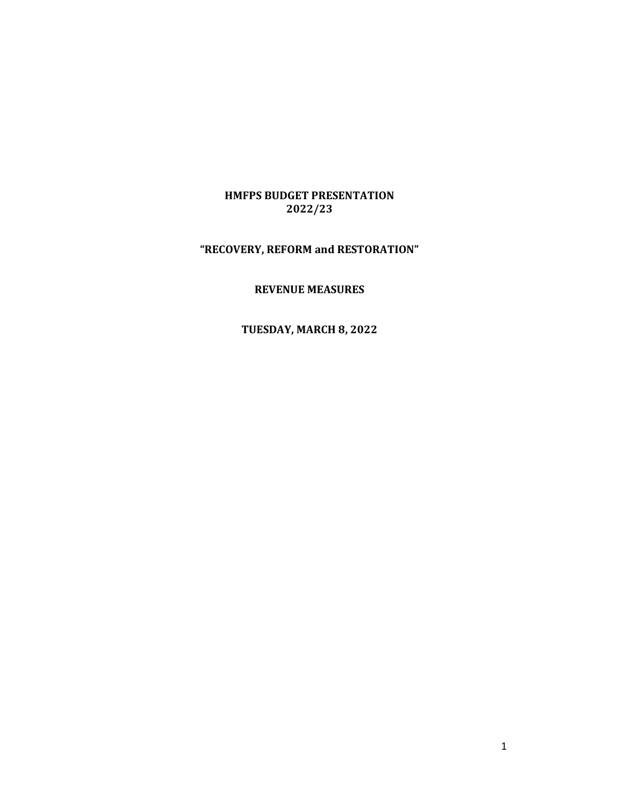# HMFPS BUDGET PRESENTATION 2022/23

# "RECOVERY, REFORM and RESTORATION"

### REVENUE MEASURES

# TUESDAY, MARCH 8, 2022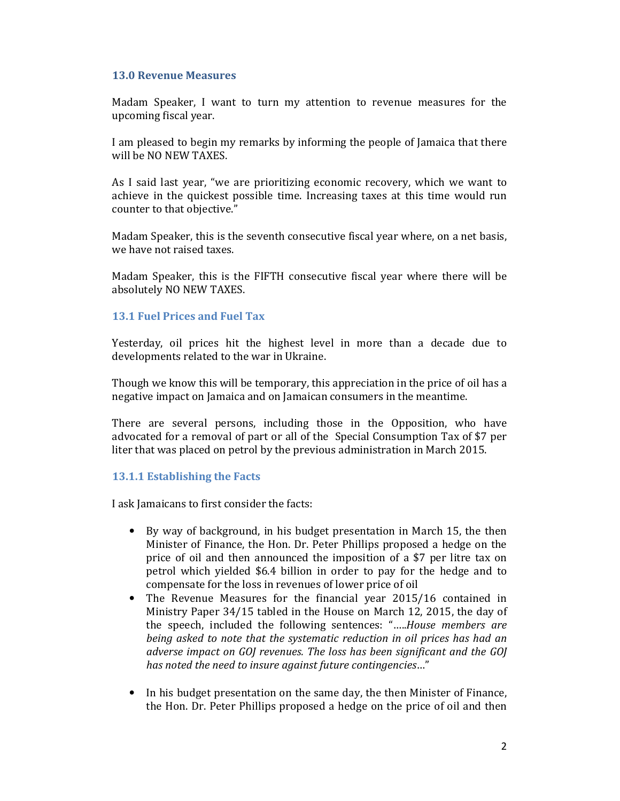### 13.0 Revenue Measures

Madam Speaker, I want to turn my attention to revenue measures for the upcoming fiscal year.

I am pleased to begin my remarks by informing the people of Jamaica that there will be NO NEW TAXES.

As I said last year, "we are prioritizing economic recovery, which we want to achieve in the quickest possible time. Increasing taxes at this time would run counter to that objective."

Madam Speaker, this is the seventh consecutive fiscal year where, on a net basis, we have not raised taxes.

Madam Speaker, this is the FIFTH consecutive fiscal year where there will be absolutely NO NEW TAXES.

### 13.1 Fuel Prices and Fuel Tax

Yesterday, oil prices hit the highest level in more than a decade due to developments related to the war in Ukraine.

Though we know this will be temporary, this appreciation in the price of oil has a negative impact on Jamaica and on Jamaican consumers in the meantime.

There are several persons, including those in the Opposition, who have advocated for a removal of part or all of the Special Consumption Tax of \$7 per liter that was placed on petrol by the previous administration in March 2015.

# 13.1.1 Establishing the Facts

I ask Jamaicans to first consider the facts:

- By way of background, in his budget presentation in March 15, the then Minister of Finance, the Hon. Dr. Peter Phillips proposed a hedge on the price of oil and then announced the imposition of a \$7 per litre tax on petrol which yielded \$6.4 billion in order to pay for the hedge and to compensate for the loss in revenues of lower price of oil
- The Revenue Measures for the financial year 2015/16 contained in Ministry Paper 34/15 tabled in the House on March 12, 2015, the day of the speech, included the following sentences: "…..House members are being asked to note that the systematic reduction in oil prices has had an adverse impact on GOJ revenues. The loss has been significant and the GOJ has noted the need to insure against future contingencies…"
- In his budget presentation on the same day, the then Minister of Finance, the Hon. Dr. Peter Phillips proposed a hedge on the price of oil and then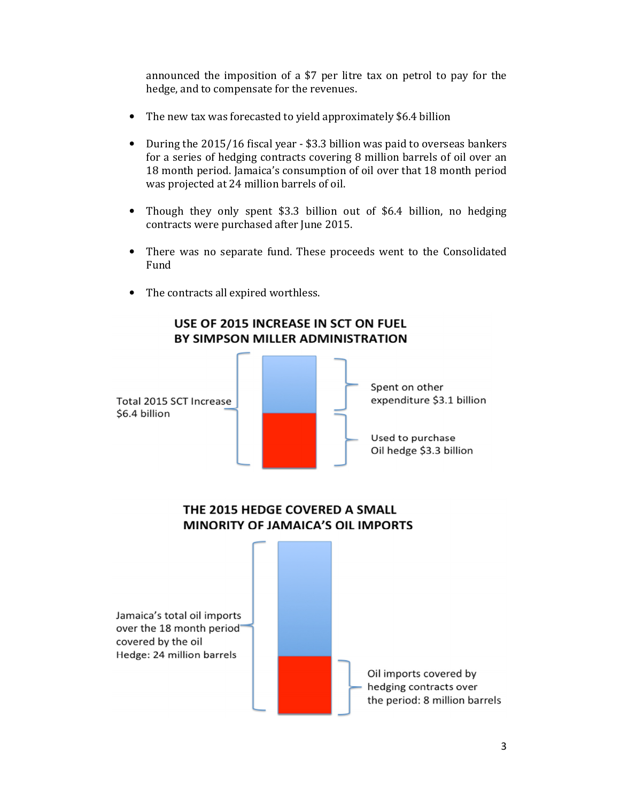announced the imposition of a \$7 per litre tax on petrol to pay for the hedge, and to compensate for the revenues.

- The new tax was forecasted to yield approximately \$6.4 billion
- During the 2015/16 fiscal year \$3.3 billion was paid to overseas bankers for a series of hedging contracts covering 8 million barrels of oil over an 18 month period. Jamaica's consumption of oil over that 18 month period was projected at 24 million barrels of oil.
- Though they only spent \$3.3 billion out of \$6.4 billion, no hedging contracts were purchased after June 2015.
- There was no separate fund. These proceeds went to the Consolidated Fund
- The contracts all expired worthless.



USE OF 2015 INCREASE IN SCT ON FUEL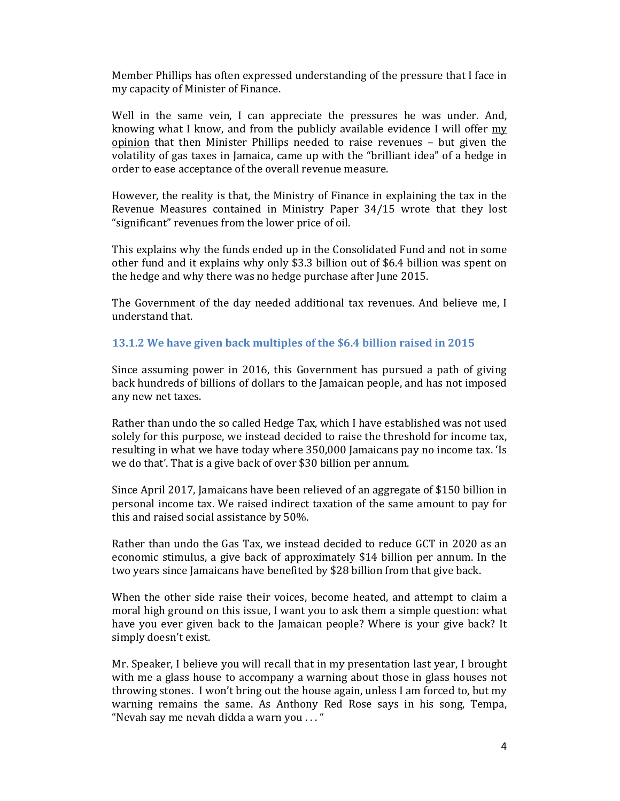Member Phillips has often expressed understanding of the pressure that I face in my capacity of Minister of Finance.

Well in the same vein, I can appreciate the pressures he was under. And, knowing what I know, and from the publicly available evidence I will offer my opinion that then Minister Phillips needed to raise revenues – but given the volatility of gas taxes in Jamaica, came up with the "brilliant idea" of a hedge in order to ease acceptance of the overall revenue measure.

However, the reality is that, the Ministry of Finance in explaining the tax in the Revenue Measures contained in Ministry Paper 34/15 wrote that they lost "significant" revenues from the lower price of oil.

This explains why the funds ended up in the Consolidated Fund and not in some other fund and it explains why only \$3.3 billion out of \$6.4 billion was spent on the hedge and why there was no hedge purchase after June 2015.

The Government of the day needed additional tax revenues. And believe me, I understand that.

## 13.1.2 We have given back multiples of the \$6.4 billion raised in 2015

Since assuming power in 2016, this Government has pursued a path of giving back hundreds of billions of dollars to the Jamaican people, and has not imposed any new net taxes.

Rather than undo the so called Hedge Tax, which I have established was not used solely for this purpose, we instead decided to raise the threshold for income tax, resulting in what we have today where 350,000 Jamaicans pay no income tax. 'Is we do that'. That is a give back of over \$30 billion per annum.

Since April 2017, Jamaicans have been relieved of an aggregate of \$150 billion in personal income tax. We raised indirect taxation of the same amount to pay for this and raised social assistance by 50%.

Rather than undo the Gas Tax, we instead decided to reduce GCT in 2020 as an economic stimulus, a give back of approximately \$14 billion per annum. In the two years since Jamaicans have benefited by \$28 billion from that give back.

When the other side raise their voices, become heated, and attempt to claim a moral high ground on this issue, I want you to ask them a simple question: what have you ever given back to the Jamaican people? Where is your give back? It simply doesn't exist.

Mr. Speaker, I believe you will recall that in my presentation last year, I brought with me a glass house to accompany a warning about those in glass houses not throwing stones. I won't bring out the house again, unless I am forced to, but my warning remains the same. As Anthony Red Rose says in his song, Tempa, "Nevah say me nevah didda a warn you . . . "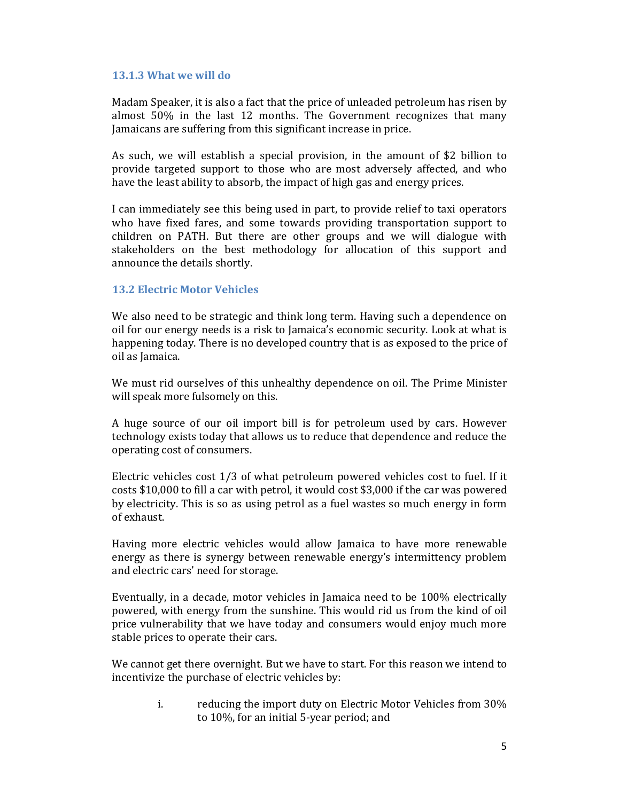### 13.1.3 What we will do

Madam Speaker, it is also a fact that the price of unleaded petroleum has risen by almost 50% in the last 12 months. The Government recognizes that many Jamaicans are suffering from this significant increase in price.

As such, we will establish a special provision, in the amount of \$2 billion to provide targeted support to those who are most adversely affected, and who have the least ability to absorb, the impact of high gas and energy prices.

I can immediately see this being used in part, to provide relief to taxi operators who have fixed fares, and some towards providing transportation support to children on PATH. But there are other groups and we will dialogue with stakeholders on the best methodology for allocation of this support and announce the details shortly.

# 13.2 Electric Motor Vehicles

We also need to be strategic and think long term. Having such a dependence on oil for our energy needs is a risk to Jamaica's economic security. Look at what is happening today. There is no developed country that is as exposed to the price of oil as Jamaica.

We must rid ourselves of this unhealthy dependence on oil. The Prime Minister will speak more fulsomely on this.

A huge source of our oil import bill is for petroleum used by cars. However technology exists today that allows us to reduce that dependence and reduce the operating cost of consumers.

Electric vehicles cost 1/3 of what petroleum powered vehicles cost to fuel. If it costs \$10,000 to fill a car with petrol, it would cost \$3,000 if the car was powered by electricity. This is so as using petrol as a fuel wastes so much energy in form of exhaust.

Having more electric vehicles would allow Jamaica to have more renewable energy as there is synergy between renewable energy's intermittency problem and electric cars' need for storage.

Eventually, in a decade, motor vehicles in Jamaica need to be 100% electrically powered, with energy from the sunshine. This would rid us from the kind of oil price vulnerability that we have today and consumers would enjoy much more stable prices to operate their cars.

We cannot get there overnight. But we have to start. For this reason we intend to incentivize the purchase of electric vehicles by:

> i. reducing the import duty on Electric Motor Vehicles from 30% to 10%, for an initial 5-year period; and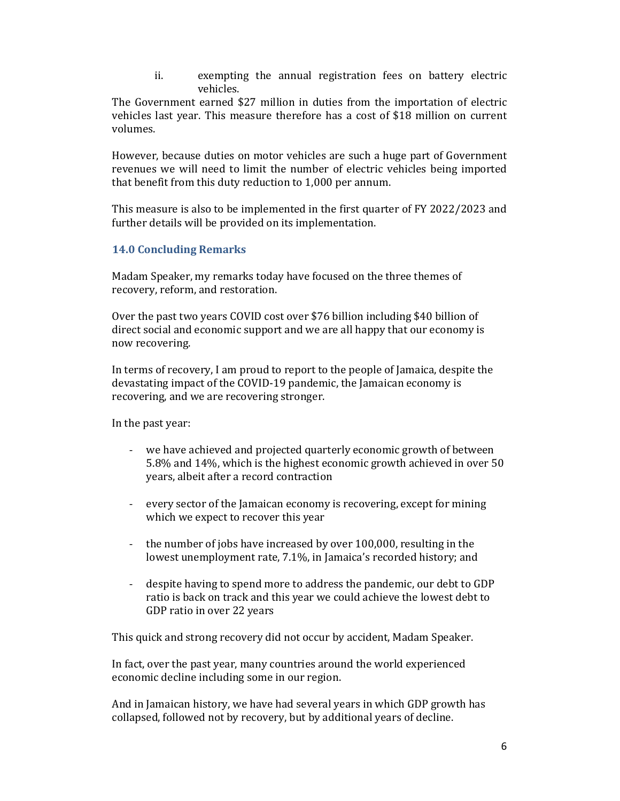ii. exempting the annual registration fees on battery electric vehicles.

The Government earned \$27 million in duties from the importation of electric vehicles last year. This measure therefore has a cost of \$18 million on current volumes.

However, because duties on motor vehicles are such a huge part of Government revenues we will need to limit the number of electric vehicles being imported that benefit from this duty reduction to 1,000 per annum.

This measure is also to be implemented in the first quarter of FY 2022/2023 and further details will be provided on its implementation.

# 14.0 Concluding Remarks

Madam Speaker, my remarks today have focused on the three themes of recovery, reform, and restoration.

Over the past two years COVID cost over \$76 billion including \$40 billion of direct social and economic support and we are all happy that our economy is now recovering.

In terms of recovery, I am proud to report to the people of Jamaica, despite the devastating impact of the COVID-19 pandemic, the Jamaican economy is recovering, and we are recovering stronger.

In the past year:

- we have achieved and projected quarterly economic growth of between 5.8% and 14%, which is the highest economic growth achieved in over 50 years, albeit after a record contraction
- every sector of the Jamaican economy is recovering, except for mining which we expect to recover this year
- the number of jobs have increased by over 100,000, resulting in the lowest unemployment rate, 7.1%, in Jamaica's recorded history; and
- despite having to spend more to address the pandemic, our debt to GDP ratio is back on track and this year we could achieve the lowest debt to GDP ratio in over 22 years

This quick and strong recovery did not occur by accident, Madam Speaker.

In fact, over the past year, many countries around the world experienced economic decline including some in our region.

And in Jamaican history, we have had several years in which GDP growth has collapsed, followed not by recovery, but by additional years of decline.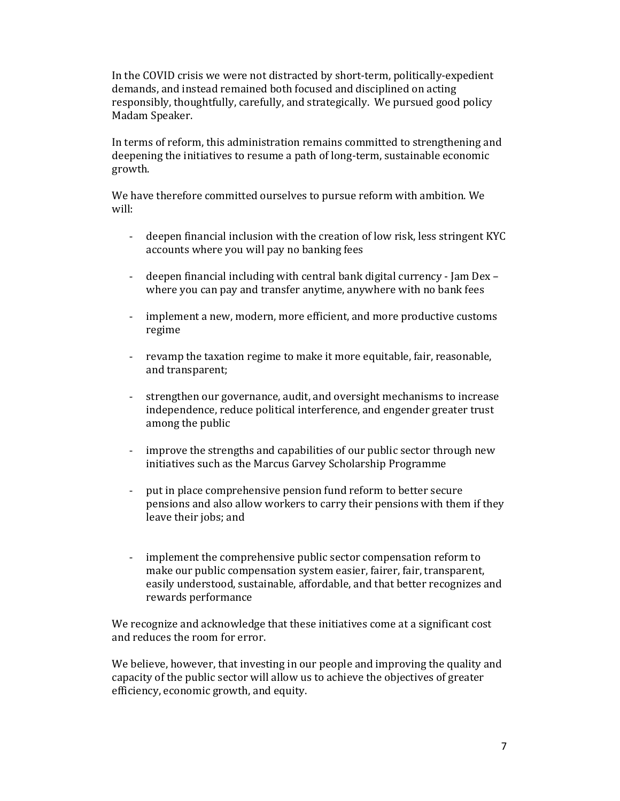In the COVID crisis we were not distracted by short-term, politically-expedient demands, and instead remained both focused and disciplined on acting responsibly, thoughtfully, carefully, and strategically. We pursued good policy Madam Speaker.

In terms of reform, this administration remains committed to strengthening and deepening the initiatives to resume a path of long-term, sustainable economic growth.

We have therefore committed ourselves to pursue reform with ambition. We will:

- deepen financial inclusion with the creation of low risk, less stringent KYC accounts where you will pay no banking fees
- deepen financial including with central bank digital currency Jam Dex where you can pay and transfer anytime, anywhere with no bank fees
- implement a new, modern, more efficient, and more productive customs regime
- revamp the taxation regime to make it more equitable, fair, reasonable, and transparent;
- strengthen our governance, audit, and oversight mechanisms to increase independence, reduce political interference, and engender greater trust among the public
- improve the strengths and capabilities of our public sector through new initiatives such as the Marcus Garvey Scholarship Programme
- put in place comprehensive pension fund reform to better secure pensions and also allow workers to carry their pensions with them if they leave their jobs; and
- implement the comprehensive public sector compensation reform to make our public compensation system easier, fairer, fair, transparent, easily understood, sustainable, affordable, and that better recognizes and rewards performance

We recognize and acknowledge that these initiatives come at a significant cost and reduces the room for error.

We believe, however, that investing in our people and improving the quality and capacity of the public sector will allow us to achieve the objectives of greater efficiency, economic growth, and equity.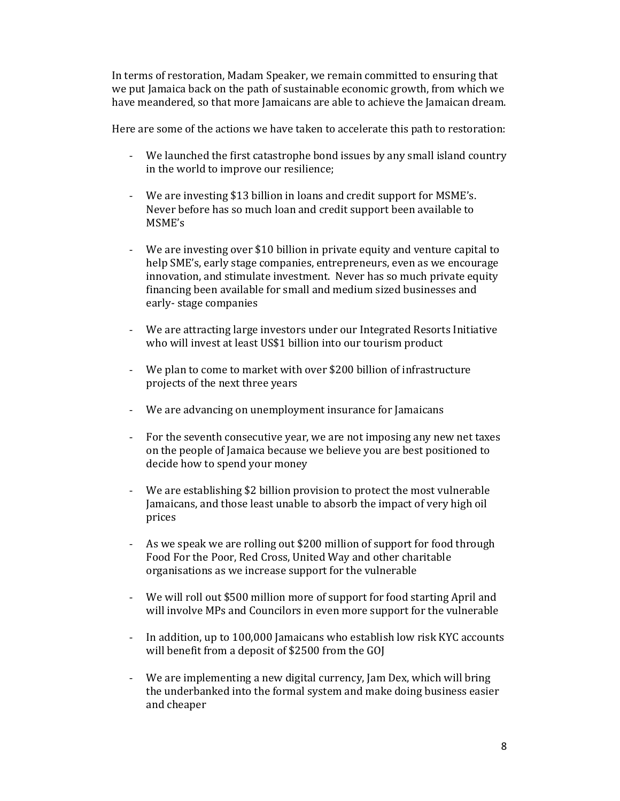In terms of restoration, Madam Speaker, we remain committed to ensuring that we put Jamaica back on the path of sustainable economic growth, from which we have meandered, so that more Jamaicans are able to achieve the Jamaican dream.

Here are some of the actions we have taken to accelerate this path to restoration:

- We launched the first catastrophe bond issues by any small island country in the world to improve our resilience;
- We are investing \$13 billion in loans and credit support for MSME's. Never before has so much loan and credit support been available to MSME's
- We are investing over \$10 billion in private equity and venture capital to help SME's, early stage companies, entrepreneurs, even as we encourage innovation, and stimulate investment. Never has so much private equity financing been available for small and medium sized businesses and early- stage companies
- We are attracting large investors under our Integrated Resorts Initiative who will invest at least US\$1 billion into our tourism product
- We plan to come to market with over \$200 billion of infrastructure projects of the next three years
- We are advancing on unemployment insurance for Jamaicans
- For the seventh consecutive year, we are not imposing any new net taxes on the people of Jamaica because we believe you are best positioned to decide how to spend your money
- We are establishing \$2 billion provision to protect the most vulnerable Jamaicans, and those least unable to absorb the impact of very high oil prices
- As we speak we are rolling out \$200 million of support for food through Food For the Poor, Red Cross, United Way and other charitable organisations as we increase support for the vulnerable
- We will roll out \$500 million more of support for food starting April and will involve MPs and Councilors in even more support for the vulnerable
- In addition, up to 100,000 Jamaicans who establish low risk KYC accounts will benefit from a deposit of \$2500 from the GOJ
- We are implementing a new digital currency, Jam Dex, which will bring the underbanked into the formal system and make doing business easier and cheaper